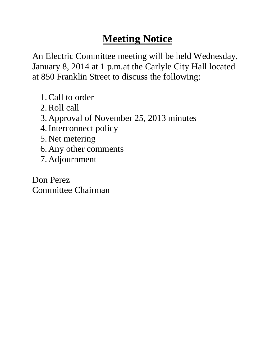An Electric Committee meeting will be held Wednesday, January 8, 2014 at 1 p.m.at the Carlyle City Hall located at 850 Franklin Street to discuss the following:

- 1.Call to order
- 2.Roll call
- 3. Approval of November 25, 2013 minutes
- 4.Interconnect policy
- 5. Net metering
- 6. Any other comments
- 7. Adjournment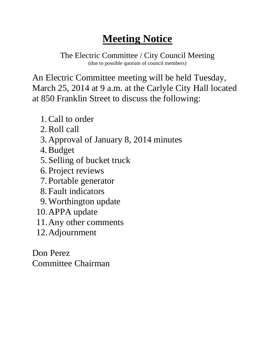The Electric Committee / City Council Meeting (due to possible quorum of council members)

An Electric Committee meeting will be held Tuesday, March 25, 2014 at 9 a.m. at the Carlyle City Hall located at 850 Franklin Street to discuss the following:

- 1.Call to order
- 2.Roll call
- 3. Approval of January 8, 2014 minutes
- 4.Budget
- 5. Selling of bucket truck
- 6. Project reviews
- 7. Portable generator
- 8. Fault indicators
- 9.Worthington update
- 10.APPA update
- 11.Any other comments
- 12.Adjournment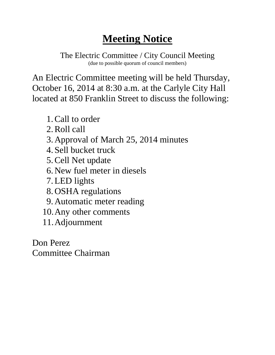The Electric Committee / City Council Meeting (due to possible quorum of council members)

An Electric Committee meeting will be held Thursday, October 16, 2014 at 8:30 a.m. at the Carlyle City Hall located at 850 Franklin Street to discuss the following:

- 1.Call to order
- 2.Roll call
- 3. Approval of March 25, 2014 minutes
- 4. Sell bucket truck
- 5.Cell Net update
- 6. New fuel meter in diesels
- 7.LED lights
- 8. OSHA regulations
- 9. Automatic meter reading
- 10.Any other comments
- 11.Adjournment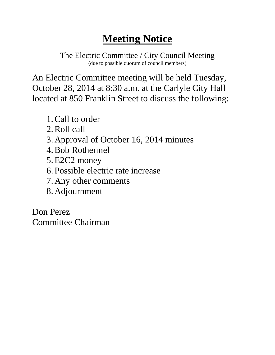The Electric Committee / City Council Meeting (due to possible quorum of council members)

An Electric Committee meeting will be held Tuesday, October 28, 2014 at 8:30 a.m. at the Carlyle City Hall located at 850 Franklin Street to discuss the following:

- 1.Call to order
- 2.Roll call
- 3. Approval of October 16, 2014 minutes
- 4.Bob Rothermel
- 5.E2C2 money
- 6. Possible electric rate increase
- 7. Any other comments
- 8. Adjournment